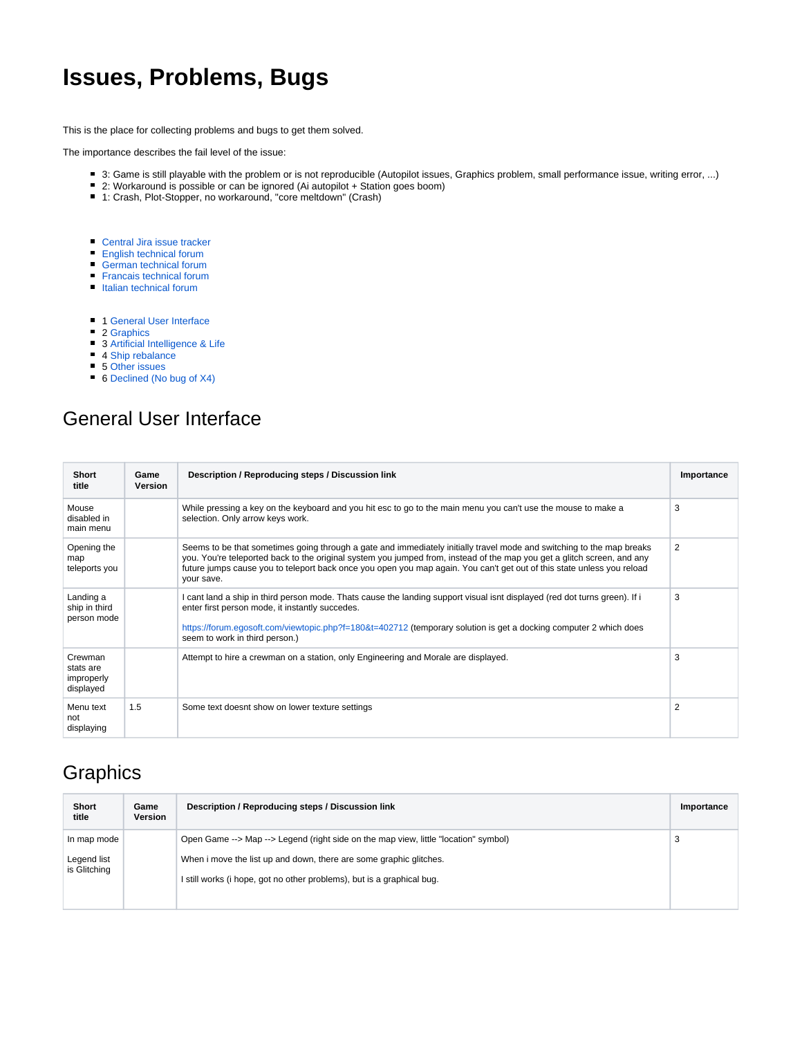### **Issues, Problems, Bugs**

This is the place for collecting problems and bugs to get them solved.

The importance describes the fail level of the issue:

- 3: Game is still playable with the problem or is not reproducible (Autopilot issues, Graphics problem, small performance issue, writing error, ...)
- 2: Workaround is possible or can be ignored (Ai autopilot + Station goes boom)
- 1: Crash, Plot-Stopper, no workaround, "core meltdown" (Crash)
- [Central Jira issue tracker](https://www.egosoft.com:8443/jira/secure/Dashboard.jspa)
- **[English technical forum](https://forum.egosoft.com/viewforum.php?f=180)**
- **[German technical forum](https://forum.egosoft.com/viewforum.php?f=183)**
- **[Francais technical forum](https://forum.egosoft.com/viewforum.php?f=186)**
- [Italian technical forum](https://forum.egosoft.com/viewforum.php?f=189)
- **1 [General User Interface](#page-0-0)**
- 2 [Graphics](#page-0-1)
- **3 [Artificial Intelligence & Life](#page-1-0)**
- 4 [Ship rebalance](#page-1-1)
- 5 [Other issues](#page-2-0)
- 6 [Declined \(No bug of X4\)](#page-3-0)

### <span id="page-0-0"></span>General User Interface

| <b>Short</b><br>title                           | Game<br>Version | Description / Reproducing steps / Discussion link                                                                                                                                                                                                                                                                                                                                        | Importance |
|-------------------------------------------------|-----------------|------------------------------------------------------------------------------------------------------------------------------------------------------------------------------------------------------------------------------------------------------------------------------------------------------------------------------------------------------------------------------------------|------------|
| Mouse<br>disabled in<br>main menu               |                 | While pressing a key on the keyboard and you hit esc to go to the main menu you can't use the mouse to make a<br>selection. Only arrow keys work.                                                                                                                                                                                                                                        | 3          |
| Opening the<br>map<br>teleports you             |                 | Seems to be that sometimes going through a gate and immediately initially travel mode and switching to the map breaks<br>you. You're teleported back to the original system you jumped from, instead of the map you get a glitch screen, and any<br>future jumps cause you to teleport back once you open you map again. You can't get out of this state unless you reload<br>your save. | 2          |
| Landing a<br>ship in third<br>person mode       |                 | I cant land a ship in third person mode. Thats cause the landing support visual isnt displayed (red dot turns green). If i<br>enter first person mode, it instantly succedes.<br>https://forum.egosoft.com/viewtopic.php?f=180&t=402712 (temporary solution is get a docking computer 2 which does<br>seem to work in third person.)                                                     | 3          |
| Crewman<br>stats are<br>improperly<br>displayed |                 | Attempt to hire a crewman on a station, only Engineering and Morale are displayed.                                                                                                                                                                                                                                                                                                       | 3          |
| Menu text<br>not<br>displaying                  | 1.5             | Some text doesnt show on lower texture settings                                                                                                                                                                                                                                                                                                                                          | 2          |

### <span id="page-0-1"></span>**Graphics**

| <b>Short</b><br>title                      | Game<br>Version | Description / Reproducing steps / Discussion link                                                                                                                                                                                   | Importance |
|--------------------------------------------|-----------------|-------------------------------------------------------------------------------------------------------------------------------------------------------------------------------------------------------------------------------------|------------|
| In map mode<br>Legend list<br>is Glitching |                 | Open Game --> Map --> Legend (right side on the map view, little "location" symbol)<br>When i move the list up and down, there are some graphic glitches.<br>I still works (i hope, got no other problems), but is a graphical bug. | 3          |
|                                            |                 |                                                                                                                                                                                                                                     |            |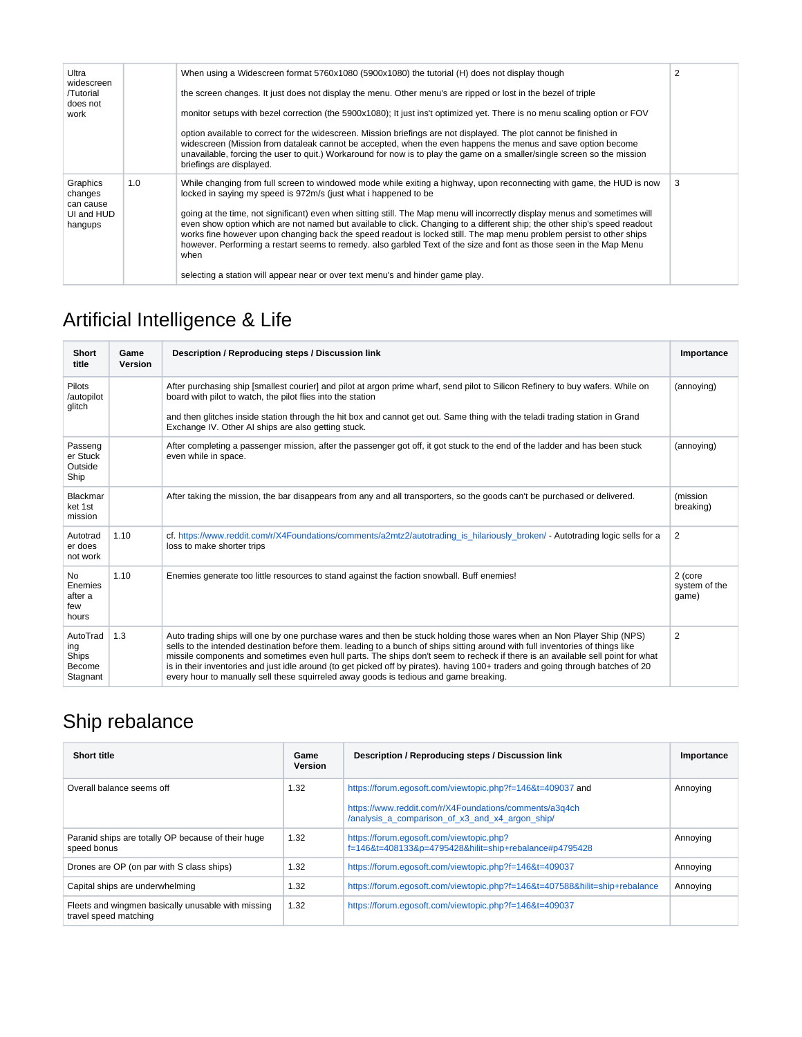| Ultra<br>widescreen<br>/Tutorial<br>does not<br>work      |     | When using a Widescreen format 5760x1080 (5900x1080) the tutorial (H) does not display though<br>the screen changes. It just does not display the menu. Other menu's are ripped or lost in the bezel of triple<br>monitor setups with bezel correction (the 5900x1080); It just ins't optimized yet. There is no menu scaling option or FOV<br>option available to correct for the widescreen. Mission briefings are not displayed. The plot cannot be finished in<br>widescreen (Mission from dataleak cannot be accepted, when the even happens the menus and save option become<br>unavailable, forcing the user to quit.) Workaround for now is to play the game on a smaller/single screen so the mission<br>briefings are displayed.                                                    | $\overline{2}$ |
|-----------------------------------------------------------|-----|-----------------------------------------------------------------------------------------------------------------------------------------------------------------------------------------------------------------------------------------------------------------------------------------------------------------------------------------------------------------------------------------------------------------------------------------------------------------------------------------------------------------------------------------------------------------------------------------------------------------------------------------------------------------------------------------------------------------------------------------------------------------------------------------------|----------------|
| Graphics<br>changes<br>can cause<br>UI and HUD<br>hangups | 1.0 | While changing from full screen to windowed mode while exiting a highway, upon reconnecting with game, the HUD is now<br>locked in saying my speed is 972m/s (just what i happened to be<br>going at the time, not significant) even when sitting still. The Map menu will incorrectly display menus and sometimes will<br>even show option which are not named but available to click. Changing to a different ship; the other ship's speed readout<br>works fine however upon changing back the speed readout is locked still. The map menu problem persist to other ships<br>however. Performing a restart seems to remedy, also garbled Text of the size and font as those seen in the Map Menu<br>when<br>selecting a station will appear near or over text menu's and hinder game play. | 3              |

# <span id="page-1-0"></span>Artificial Intelligence & Life

| Short<br>title                                  | Game<br><b>Version</b> | Description / Reproducing steps / Discussion link                                                                                                                                                                                                                                                                                                                                                                                                                                                                                                                                                                      | Importance                        |
|-------------------------------------------------|------------------------|------------------------------------------------------------------------------------------------------------------------------------------------------------------------------------------------------------------------------------------------------------------------------------------------------------------------------------------------------------------------------------------------------------------------------------------------------------------------------------------------------------------------------------------------------------------------------------------------------------------------|-----------------------------------|
| <b>Pilots</b><br>/autopilot<br>glitch           |                        | After purchasing ship [smallest courier] and pilot at argon prime wharf, send pilot to Silicon Refinery to buy wafers. While on<br>board with pilot to watch, the pilot flies into the station                                                                                                                                                                                                                                                                                                                                                                                                                         | (annoying)                        |
|                                                 |                        | and then glitches inside station through the hit box and cannot get out. Same thing with the teladi trading station in Grand<br>Exchange IV. Other AI ships are also getting stuck.                                                                                                                                                                                                                                                                                                                                                                                                                                    |                                   |
| Passeng<br>er Stuck<br>Outside<br>Ship          |                        | After completing a passenger mission, after the passenger got off, it got stuck to the end of the ladder and has been stuck<br>even while in space.                                                                                                                                                                                                                                                                                                                                                                                                                                                                    | (annoying)                        |
| Blackmar<br>ket 1st<br>mission                  |                        | After taking the mission, the bar disappears from any and all transporters, so the goods can't be purchased or delivered.                                                                                                                                                                                                                                                                                                                                                                                                                                                                                              | (mission<br>breaking)             |
| Autotrad<br>er does<br>not work                 | 1.10                   | cf. https://www.reddit.com/r/X4Foundations/comments/a2mtz2/autotrading is hilariously broken/ - Autotrading logic sells for a<br>loss to make shorter trips                                                                                                                                                                                                                                                                                                                                                                                                                                                            | 2                                 |
| <b>No</b><br>Enemies<br>after a<br>few<br>hours | 1.10                   | Enemies generate too little resources to stand against the faction snowball. Buff enemies!                                                                                                                                                                                                                                                                                                                                                                                                                                                                                                                             | 2 (core<br>system of the<br>game) |
| AutoTrad<br>ing<br>Ships<br>Become<br>Stagnant  | 1.3                    | Auto trading ships will one by one purchase wares and then be stuck holding those wares when an Non Player Ship (NPS)<br>sells to the intended destination before them. leading to a bunch of ships sitting around with full inventories of things like<br>missile components and sometimes even hull parts. The ships don't seem to recheck if there is an available sell point for what<br>is in their inventories and just idle around (to get picked off by pirates). having 100+ traders and going through batches of 20<br>every hour to manually sell these squirreled away goods is tedious and game breaking. | $\overline{2}$                    |

## <span id="page-1-1"></span>Ship rebalance

| <b>Short title</b>                                                          | Game<br>Version | Description / Reproducing steps / Discussion link                                                         | Importance |
|-----------------------------------------------------------------------------|-----------------|-----------------------------------------------------------------------------------------------------------|------------|
| Overall balance seems off                                                   | 1.32            | https://forum.egosoft.com/viewtopic.php?f=146&t=409037 and                                                | Annoying   |
|                                                                             |                 | https://www.reddit.com/r/X4Foundations/comments/a3q4ch<br>/analysis_a_comparison_of_x3_and_x4_argon_ship/ |            |
| Paranid ships are totally OP because of their huge<br>speed bonus           | 1.32            | https://forum.eqosoft.com/viewtopic.php?<br>f=146&t=408133&p=4795428&hilit=ship+rebalance#p4795428        | Annoying   |
| Drones are OP (on par with S class ships)                                   | 1.32            | https://forum.eqosoft.com/viewtopic.php?f=146&t=409037                                                    | Annoving   |
| Capital ships are underwhelming                                             | 1.32            | https://forum.eqosoft.com/viewtopic.php?f=146&t=407588&hilit=ship+rebalance                               | Annoving   |
| Fleets and wingmen basically unusable with missing<br>travel speed matching | 1.32            | https://forum.eqosoft.com/viewtopic.php?f=146&t=409037                                                    |            |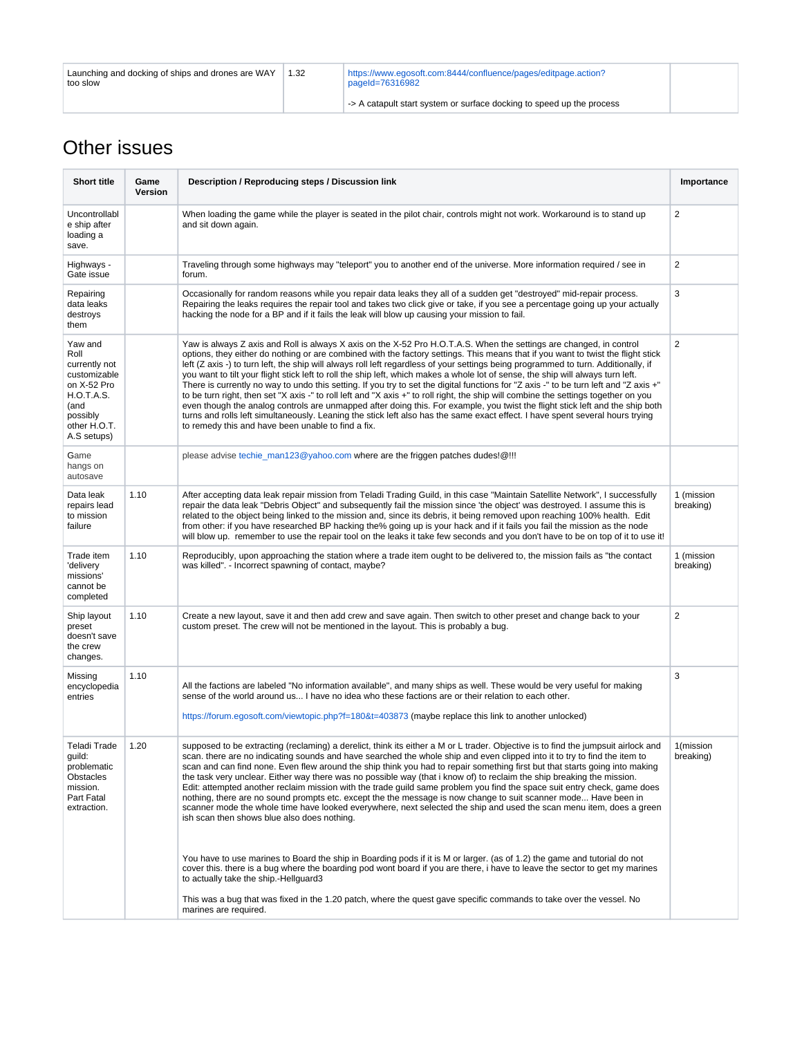| Launching and docking of ships and drones are WAY<br>too slow | 1.32 | https://www.egosoft.com:8444/confluence/pages/editpage.action?<br>pageId=76316982 |  |
|---------------------------------------------------------------|------|-----------------------------------------------------------------------------------|--|
|                                                               |      | -> A catapult start system or surface docking to speed up the process             |  |

### <span id="page-2-0"></span>Other issues

| <b>Short title</b>                                                                                                                      | Game<br>Version | Description / Reproducing steps / Discussion link                                                                                                                                                                                                                                                                                                                                                                                                                                                                                                                                                                                                                                                                                                                                                                                                                                                                                                                                                                                                                                                                                          | Importance              |
|-----------------------------------------------------------------------------------------------------------------------------------------|-----------------|--------------------------------------------------------------------------------------------------------------------------------------------------------------------------------------------------------------------------------------------------------------------------------------------------------------------------------------------------------------------------------------------------------------------------------------------------------------------------------------------------------------------------------------------------------------------------------------------------------------------------------------------------------------------------------------------------------------------------------------------------------------------------------------------------------------------------------------------------------------------------------------------------------------------------------------------------------------------------------------------------------------------------------------------------------------------------------------------------------------------------------------------|-------------------------|
| Uncontrollabl<br>e ship after<br>loading a<br>save.                                                                                     |                 | 2<br>When loading the game while the player is seated in the pilot chair, controls might not work. Workaround is to stand up<br>and sit down again.                                                                                                                                                                                                                                                                                                                                                                                                                                                                                                                                                                                                                                                                                                                                                                                                                                                                                                                                                                                        |                         |
| Highways -<br>Gate issue                                                                                                                |                 | Traveling through some highways may "teleport" you to another end of the universe. More information required / see in<br>forum.                                                                                                                                                                                                                                                                                                                                                                                                                                                                                                                                                                                                                                                                                                                                                                                                                                                                                                                                                                                                            | 2                       |
| Repairing<br>data leaks<br>destroys<br>them                                                                                             |                 | Occasionally for random reasons while you repair data leaks they all of a sudden get "destroyed" mid-repair process.<br>Repairing the leaks requires the repair tool and takes two click give or take, if you see a percentage going up your actually<br>hacking the node for a BP and if it fails the leak will blow up causing your mission to fail.                                                                                                                                                                                                                                                                                                                                                                                                                                                                                                                                                                                                                                                                                                                                                                                     | 3                       |
| Yaw and<br>Roll<br>currently not<br>customizable<br>on X-52 Pro<br><b>H.O.T.A.S.</b><br>(and<br>possibly<br>other H.O.T.<br>A.S setups) |                 | Yaw is always Z axis and Roll is always X axis on the X-52 Pro H.O.T.A.S. When the settings are changed, in control<br>options, they either do nothing or are combined with the factory settings. This means that if you want to twist the flight stick<br>left (Z axis -) to turn left, the ship will always roll left regardless of your settings being programmed to turn. Additionally, if<br>you want to tilt your flight stick left to roll the ship left, which makes a whole lot of sense, the ship will always turn left.<br>There is currently no way to undo this setting. If you try to set the digital functions for "Z axis -" to be turn left and "Z axis +"<br>to be turn right, then set "X axis -" to roll left and "X axis +" to roll right, the ship will combine the settings together on you<br>even though the analog controls are unmapped after doing this. For example, you twist the flight stick left and the ship both<br>turns and rolls left simultaneously. Leaning the stick left also has the same exact effect. I have spent several hours trying<br>to remedy this and have been unable to find a fix. | 2                       |
| Game<br>hangs on<br>autosave                                                                                                            |                 | please advise techie_man123@yahoo.com where are the friggen patches dudes!@!!!                                                                                                                                                                                                                                                                                                                                                                                                                                                                                                                                                                                                                                                                                                                                                                                                                                                                                                                                                                                                                                                             |                         |
| Data leak<br>repairs lead<br>to mission<br>failure                                                                                      | 1.10            | After accepting data leak repair mission from Teladi Trading Guild, in this case "Maintain Satellite Network", I successfully<br>repair the data leak "Debris Object" and subsequently fail the mission since 'the object' was destroyed. I assume this is<br>related to the object being linked to the mission and, since its debris, it being removed upon reaching 100% health. Edit<br>from other: if you have researched BP hacking the% going up is your hack and if it fails you fail the mission as the node<br>will blow up. remember to use the repair tool on the leaks it take few seconds and you don't have to be on top of it to use it!                                                                                                                                                                                                                                                                                                                                                                                                                                                                                    | 1 (mission<br>breaking) |
| Trade item<br>'delivery<br>missions'<br>cannot be<br>completed                                                                          | 1.10            | Reproducibly, upon approaching the station where a trade item ought to be delivered to, the mission fails as "the contact<br>was killed". - Incorrect spawning of contact, maybe?                                                                                                                                                                                                                                                                                                                                                                                                                                                                                                                                                                                                                                                                                                                                                                                                                                                                                                                                                          | 1 (mission<br>breaking) |
| Ship layout<br>preset<br>doesn't save<br>the crew<br>changes.                                                                           | 1.10            | Create a new layout, save it and then add crew and save again. Then switch to other preset and change back to your<br>custom preset. The crew will not be mentioned in the layout. This is probably a bug.                                                                                                                                                                                                                                                                                                                                                                                                                                                                                                                                                                                                                                                                                                                                                                                                                                                                                                                                 | 2                       |
| Missing<br>encyclopedia<br>entries                                                                                                      | 1.10            | All the factions are labeled "No information available", and many ships as well. These would be very useful for making<br>sense of the world around us I have no idea who these factions are or their relation to each other.<br>https://forum.egosoft.com/viewtopic.php?f=180&t=403873 (maybe replace this link to another unlocked)                                                                                                                                                                                                                                                                                                                                                                                                                                                                                                                                                                                                                                                                                                                                                                                                      | 3                       |
| Teladi Trade<br>guild:<br>problematic<br>Obstacles<br>mission.<br>Part Fatal<br>extraction.                                             | 1.20            | supposed to be extracting (reclaming) a derelict, think its either a M or L trader. Objective is to find the jumpsuit airlock and<br>scan, there are no indicating sounds and have searched the whole ship and even clipped into it to try to find the item to<br>scan and can find none. Even flew around the ship think you had to repair something first but that starts going into making<br>the task very unclear. Either way there was no possible way (that i know of) to reclaim the ship breaking the mission.<br>Edit: attempted another reclaim mission with the trade quild same problem you find the space suit entry check, game does<br>nothing, there are no sound prompts etc. except the the message is now change to suit scanner mode Have been in<br>scanner mode the whole time have looked everywhere, next selected the ship and used the scan menu item, does a green<br>ish scan then shows blue also does nothing.                                                                                                                                                                                              | 1(mission<br>breaking)  |
|                                                                                                                                         |                 | You have to use marines to Board the ship in Boarding pods if it is M or larger. (as of 1.2) the game and tutorial do not<br>cover this, there is a bug where the boarding pod wont board if you are there, i have to leave the sector to get my marines<br>to actually take the ship.-Hellguard3                                                                                                                                                                                                                                                                                                                                                                                                                                                                                                                                                                                                                                                                                                                                                                                                                                          |                         |
|                                                                                                                                         |                 | This was a bug that was fixed in the 1.20 patch, where the quest gave specific commands to take over the vessel. No<br>marines are required.                                                                                                                                                                                                                                                                                                                                                                                                                                                                                                                                                                                                                                                                                                                                                                                                                                                                                                                                                                                               |                         |